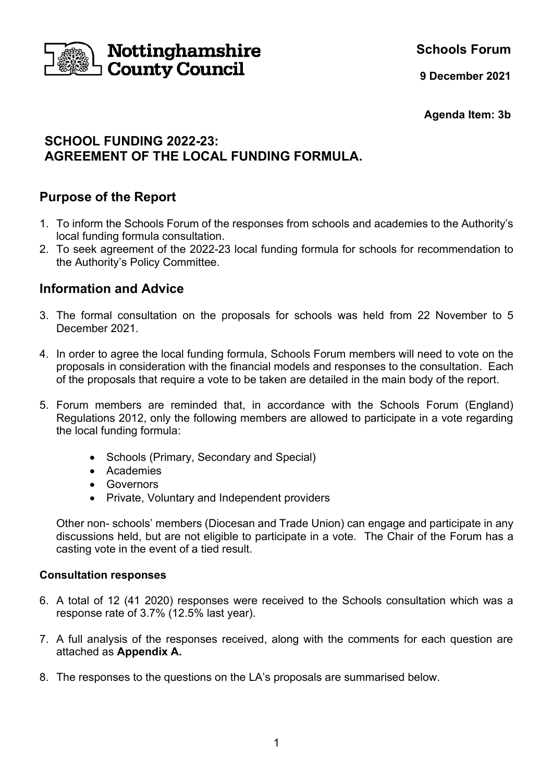

**Schools Forum**

**9 December 2021**

**Agenda Item: 3b**

# **SCHOOL FUNDING 2022-23: AGREEMENT OF THE LOCAL FUNDING FORMULA.**

# **Purpose of the Report**

- 1. To inform the Schools Forum of the responses from schools and academies to the Authority's local funding formula consultation.
- 2. To seek agreement of the 2022-23 local funding formula for schools for recommendation to the Authority's Policy Committee.

# **Information and Advice**

- 3. The formal consultation on the proposals for schools was held from 22 November to 5 December 2021.
- 4. In order to agree the local funding formula, Schools Forum members will need to vote on the proposals in consideration with the financial models and responses to the consultation. Each of the proposals that require a vote to be taken are detailed in the main body of the report.
- 5. Forum members are reminded that, in accordance with the Schools Forum (England) Regulations 2012, only the following members are allowed to participate in a vote regarding the local funding formula:
	- Schools (Primary, Secondary and Special)
	- Academies
	- Governors
	- Private, Voluntary and Independent providers

Other non- schools' members (Diocesan and Trade Union) can engage and participate in any discussions held, but are not eligible to participate in a vote. The Chair of the Forum has a casting vote in the event of a tied result.

### **Consultation responses**

- 6. A total of 12 (41 2020) responses were received to the Schools consultation which was a response rate of 3.7% (12.5% last year).
- 7. A full analysis of the responses received, along with the comments for each question are attached as **Appendix A.**
- 8. The responses to the questions on the LA's proposals are summarised below.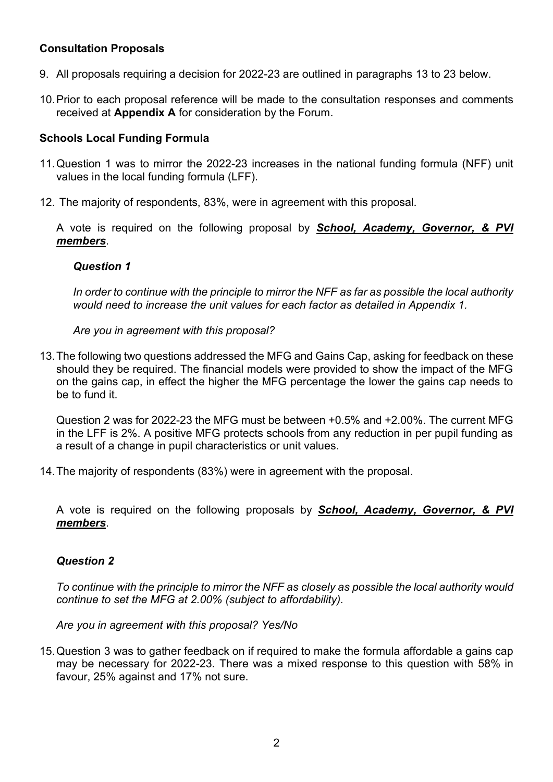### **Consultation Proposals**

- 9. All proposals requiring a decision for 2022-23 are outlined in paragraphs 13 to 23 below.
- 10.Prior to each proposal reference will be made to the consultation responses and comments received at **Appendix A** for consideration by the Forum.

### **Schools Local Funding Formula**

- 11.Question 1 was to mirror the 2022-23 increases in the national funding formula (NFF) unit values in the local funding formula (LFF).
- 12. The majority of respondents, 83%, were in agreement with this proposal.

A vote is required on the following proposal by *School, Academy, Governor, & PVI members*.

#### *Question 1*

*In order to continue with the principle to mirror the NFF as far as possible the local authority would need to increase the unit values for each factor as detailed in Appendix 1.* 

*Are you in agreement with this proposal?* 

13.The following two questions addressed the MFG and Gains Cap, asking for feedback on these should they be required. The financial models were provided to show the impact of the MFG on the gains cap, in effect the higher the MFG percentage the lower the gains cap needs to be to fund it.

Question 2 was for 2022-23 the MFG must be between +0.5% and +2.00%. The current MFG in the LFF is 2%. A positive MFG protects schools from any reduction in per pupil funding as a result of a change in pupil characteristics or unit values.

14.The majority of respondents (83%) were in agreement with the proposal.

A vote is required on the following proposals by *School, Academy, Governor, & PVI members*.

### *Question 2*

*To continue with the principle to mirror the NFF as closely as possible the local authority would continue to set the MFG at 2.00% (subject to affordability).*

*Are you in agreement with this proposal? Yes/No*

15.Question 3 was to gather feedback on if required to make the formula affordable a gains cap may be necessary for 2022-23. There was a mixed response to this question with 58% in favour, 25% against and 17% not sure.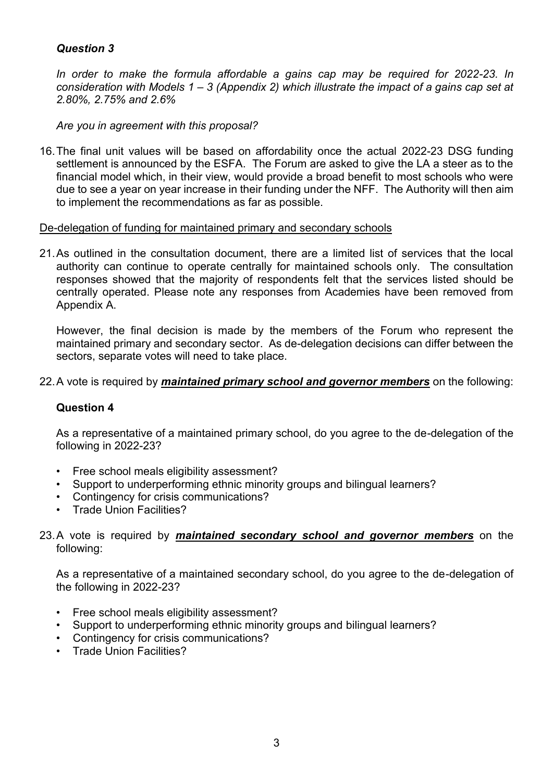## *Question 3*

*In order to make the formula affordable a gains cap may be required for 2022-23. In consideration with Models 1 – 3 (Appendix 2) which illustrate the impact of a gains cap set at 2.80%, 2.75% and 2.6%*

*Are you in agreement with this proposal?*

16.The final unit values will be based on affordability once the actual 2022-23 DSG funding settlement is announced by the ESFA. The Forum are asked to give the LA a steer as to the financial model which, in their view, would provide a broad benefit to most schools who were due to see a year on year increase in their funding under the NFF. The Authority will then aim to implement the recommendations as far as possible.

De-delegation of funding for maintained primary and secondary schools

21.As outlined in the consultation document, there are a limited list of services that the local authority can continue to operate centrally for maintained schools only. The consultation responses showed that the majority of respondents felt that the services listed should be centrally operated. Please note any responses from Academies have been removed from Appendix A.

However, the final decision is made by the members of the Forum who represent the maintained primary and secondary sector. As de-delegation decisions can differ between the sectors, separate votes will need to take place.

#### 22.A vote is required by *maintained primary school and governor members* on the following:

### **Question 4**

As a representative of a maintained primary school, do you agree to the de-delegation of the following in 2022-23?

- Free school meals eligibility assessment?
- Support to underperforming ethnic minority groups and bilingual learners?
- Contingency for crisis communications?
- Trade Union Facilities?

#### 23.A vote is required by *maintained secondary school and governor members* on the following:

As a representative of a maintained secondary school, do you agree to the de-delegation of the following in 2022-23?

- Free school meals eligibility assessment?
- Support to underperforming ethnic minority groups and bilingual learners?
- Contingency for crisis communications?
- Trade Union Facilities?